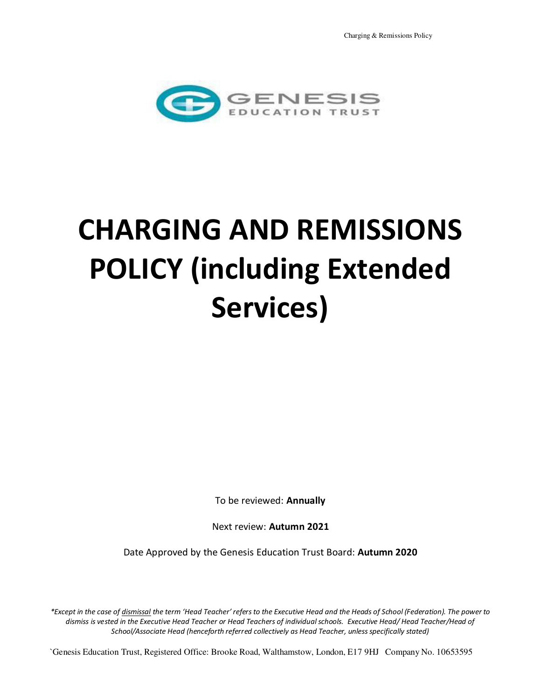

# **CHARGING AND REMISSIONS POLICY (including Extended Services)**

To be reviewed: **Annually** 

Next review: **Autumn 2021**

Date Approved by the Genesis Education Trust Board: **Autumn 2020**

*\*Except in the case of dismissal the term 'Head Teacher' refers to the Executive Head and the Heads of School (Federation). The power to dismiss is vested in the Executive Head Teacher or Head Teachers of individual schools. Executive Head/ Head Teacher/Head of School/Associate Head (henceforth referred collectively as Head Teacher, unless specifically stated)* 

`Genesis Education Trust, Registered Office: Brooke Road, Walthamstow, London, E17 9HJ Company No. 10653595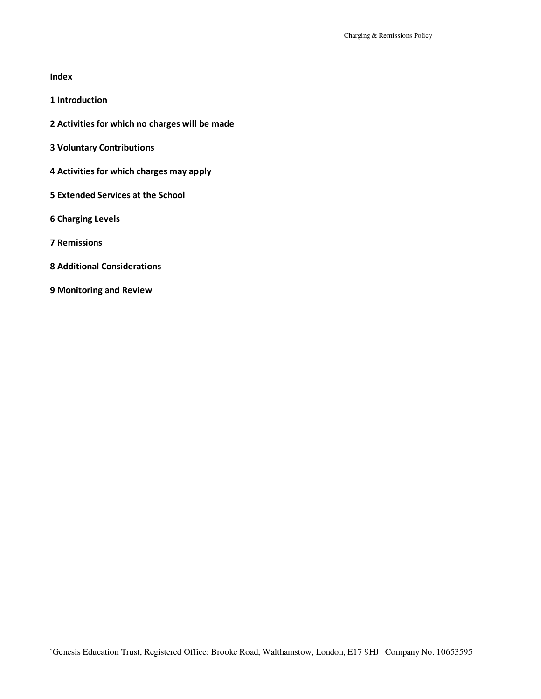### **Index**

- **1 Introduction**
- **2 Activities for which no charges will be made**
- **3 Voluntary Contributions**
- **4 Activities for which charges may apply**
- **5 Extended Services at the School**
- **6 Charging Levels**
- **7 Remissions**
- **8 Additional Considerations**
- **9 Monitoring and Review**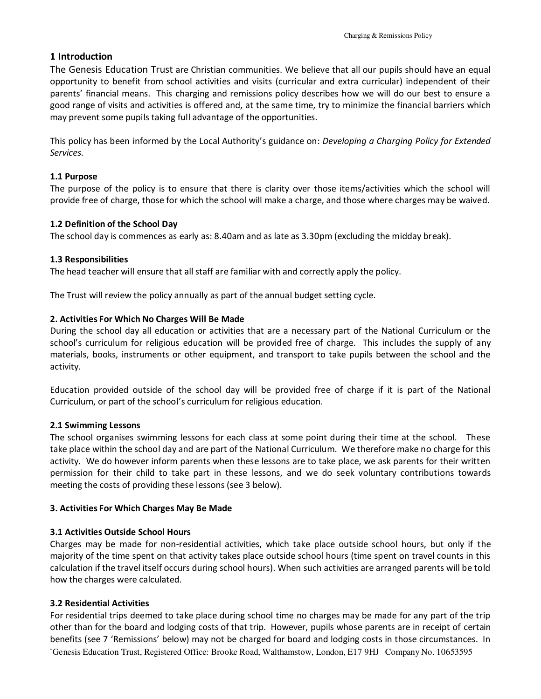## **1 Introduction**

The Genesis Education Trust are Christian communities. We believe that all our pupils should have an equal opportunity to benefit from school activities and visits (curricular and extra curricular) independent of their parents' financial means. This charging and remissions policy describes how we will do our best to ensure a good range of visits and activities is offered and, at the same time, try to minimize the financial barriers which may prevent some pupils taking full advantage of the opportunities.

This policy has been informed by the Local Authority's guidance on: *Developing a Charging Policy for Extended Services.* 

## **1.1 Purpose**

The purpose of the policy is to ensure that there is clarity over those items/activities which the school will provide free of charge, those for which the school will make a charge, and those where charges may be waived.

## **1.2 Definition of the School Day**

The school day is commences as early as: 8.40am and as late as 3.30pm (excluding the midday break).

## **1.3 Responsibilities**

The head teacher will ensure that all staff are familiar with and correctly apply the policy.

The Trust will review the policy annually as part of the annual budget setting cycle.

## **2. Activities For Which No Charges Will Be Made**

During the school day all education or activities that are a necessary part of the National Curriculum or the school's curriculum for religious education will be provided free of charge. This includes the supply of any materials, books, instruments or other equipment, and transport to take pupils between the school and the activity.

Education provided outside of the school day will be provided free of charge if it is part of the National Curriculum, or part of the school's curriculum for religious education.

## **2.1 Swimming Lessons**

The school organises swimming lessons for each class at some point during their time at the school. These take place within the school day and are part of the National Curriculum. We therefore make no charge for this activity. We do however inform parents when these lessons are to take place, we ask parents for their written permission for their child to take part in these lessons, and we do seek voluntary contributions towards meeting the costs of providing these lessons (see 3 below).

## **3. Activities For Which Charges May Be Made**

## **3.1 Activities Outside School Hours**

Charges may be made for non-residential activities, which take place outside school hours, but only if the majority of the time spent on that activity takes place outside school hours (time spent on travel counts in this calculation if the travel itself occurs during school hours). When such activities are arranged parents will be told how the charges were calculated.

## **3.2 Residential Activities**

`Genesis Education Trust, Registered Office: Brooke Road, Walthamstow, London, E17 9HJ Company No. 10653595 For residential trips deemed to take place during school time no charges may be made for any part of the trip other than for the board and lodging costs of that trip. However, pupils whose parents are in receipt of certain benefits (see 7 'Remissions' below) may not be charged for board and lodging costs in those circumstances. In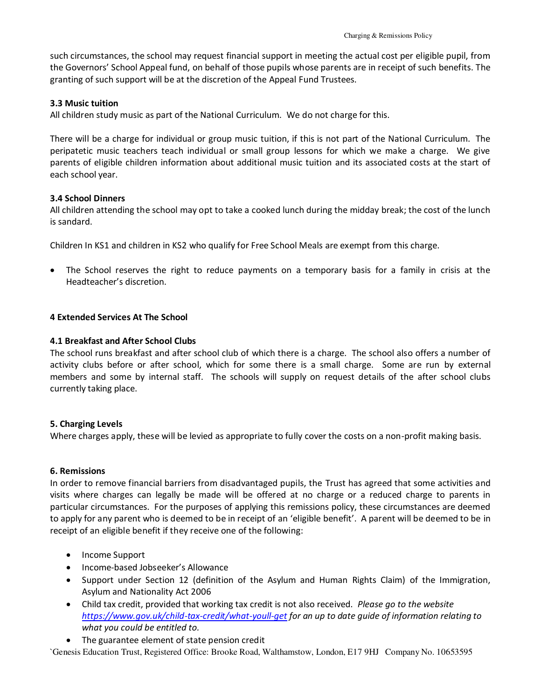such circumstances, the school may request financial support in meeting the actual cost per eligible pupil, from the Governors' School Appeal fund, on behalf of those pupils whose parents are in receipt of such benefits. The granting of such support will be at the discretion of the Appeal Fund Trustees.

#### **3.3 Music tuition**

All children study music as part of the National Curriculum. We do not charge for this.

There will be a charge for individual or group music tuition, if this is not part of the National Curriculum. The peripatetic music teachers teach individual or small group lessons for which we make a charge. We give parents of eligible children information about additional music tuition and its associated costs at the start of each school year.

#### **3.4 School Dinners**

All children attending the school may opt to take a cooked lunch during the midday break; the cost of the lunch is sandard.

Children In KS1 and children in KS2 who qualify for Free School Meals are exempt from this charge.

• The School reserves the right to reduce payments on a temporary basis for a family in crisis at the Headteacher's discretion.

#### **4 Extended Services At The School**

#### **4.1 Breakfast and After School Clubs**

The school runs breakfast and after school club of which there is a charge. The school also offers a number of activity clubs before or after school, which for some there is a small charge. Some are run by external members and some by internal staff. The schools will supply on request details of the after school clubs currently taking place.

#### **5. Charging Levels**

Where charges apply, these will be levied as appropriate to fully cover the costs on a non-profit making basis.

#### **6. Remissions**

In order to remove financial barriers from disadvantaged pupils, the Trust has agreed that some activities and visits where charges can legally be made will be offered at no charge or a reduced charge to parents in particular circumstances. For the purposes of applying this remissions policy, these circumstances are deemed to apply for any parent who is deemed to be in receipt of an 'eligible benefit'. A parent will be deemed to be in receipt of an eligible benefit if they receive one of the following:

- Income Support
- Income-based Jobseeker's Allowance
- Support under Section 12 (definition of the Asylum and Human Rights Claim) of the Immigration, Asylum and Nationality Act 2006
- Child tax credit, provided that working tax credit is not also received. *Please go to the website <https://www.gov.uk/child-tax-credit/what-youll-get>for an up to date guide of information relating to what you could be entitled to.*
- The guarantee element of state pension credit

`Genesis Education Trust, Registered Office: Brooke Road, Walthamstow, London, E17 9HJ Company No. 10653595